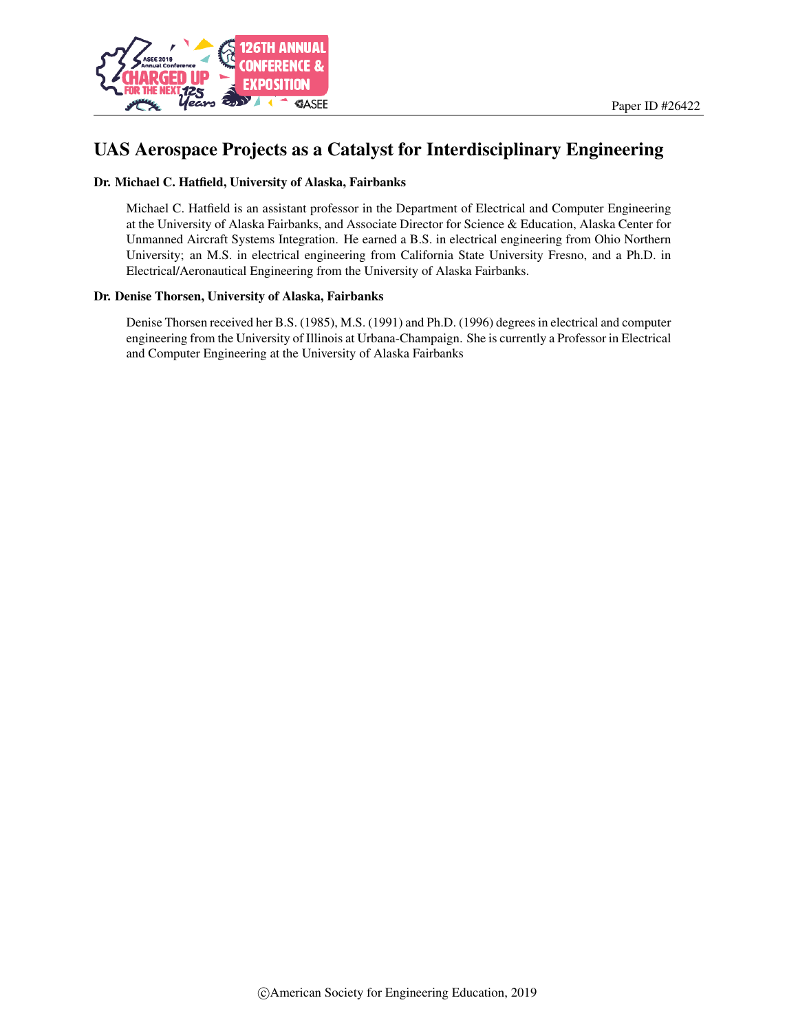

# UAS Aerospace Projects as a Catalyst for Interdisciplinary Engineering

#### Dr. Michael C. Hatfield, University of Alaska, Fairbanks

Michael C. Hatfield is an assistant professor in the Department of Electrical and Computer Engineering at the University of Alaska Fairbanks, and Associate Director for Science & Education, Alaska Center for Unmanned Aircraft Systems Integration. He earned a B.S. in electrical engineering from Ohio Northern University; an M.S. in electrical engineering from California State University Fresno, and a Ph.D. in Electrical/Aeronautical Engineering from the University of Alaska Fairbanks.

#### Dr. Denise Thorsen, University of Alaska, Fairbanks

Denise Thorsen received her B.S. (1985), M.S. (1991) and Ph.D. (1996) degrees in electrical and computer engineering from the University of Illinois at Urbana-Champaign. She is currently a Professor in Electrical and Computer Engineering at the University of Alaska Fairbanks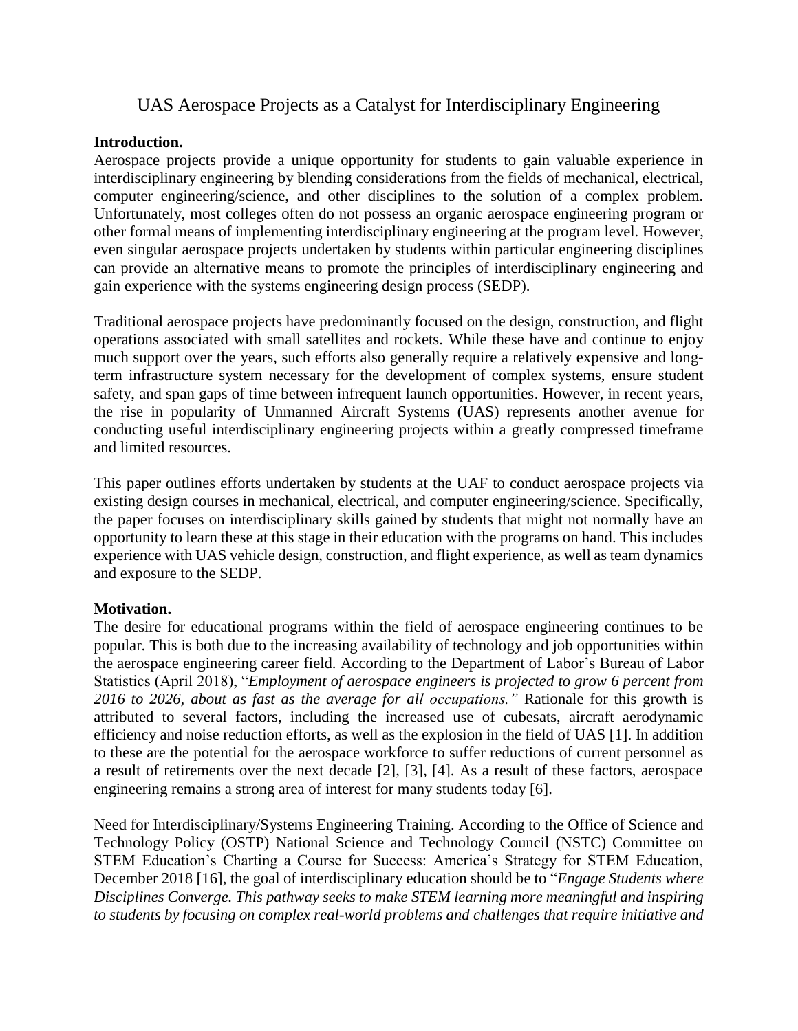# UAS Aerospace Projects as a Catalyst for Interdisciplinary Engineering

### **Introduction.**

Aerospace projects provide a unique opportunity for students to gain valuable experience in interdisciplinary engineering by blending considerations from the fields of mechanical, electrical, computer engineering/science, and other disciplines to the solution of a complex problem. Unfortunately, most colleges often do not possess an organic aerospace engineering program or other formal means of implementing interdisciplinary engineering at the program level. However, even singular aerospace projects undertaken by students within particular engineering disciplines can provide an alternative means to promote the principles of interdisciplinary engineering and gain experience with the systems engineering design process (SEDP).

Traditional aerospace projects have predominantly focused on the design, construction, and flight operations associated with small satellites and rockets. While these have and continue to enjoy much support over the years, such efforts also generally require a relatively expensive and longterm infrastructure system necessary for the development of complex systems, ensure student safety, and span gaps of time between infrequent launch opportunities. However, in recent years, the rise in popularity of Unmanned Aircraft Systems (UAS) represents another avenue for conducting useful interdisciplinary engineering projects within a greatly compressed timeframe and limited resources.

This paper outlines efforts undertaken by students at the UAF to conduct aerospace projects via existing design courses in mechanical, electrical, and computer engineering/science. Specifically, the paper focuses on interdisciplinary skills gained by students that might not normally have an opportunity to learn these at this stage in their education with the programs on hand. This includes experience with UAS vehicle design, construction, and flight experience, as well as team dynamics and exposure to the SEDP.

### **Motivation.**

The desire for educational programs within the field of aerospace engineering continues to be popular. This is both due to the increasing availability of technology and job opportunities within the aerospace engineering career field. According to the Department of Labor's Bureau of Labor Statistics (April 2018), "*Employment of aerospace engineers is projected to grow 6 percent from 2016 to 2026, about as fast as the average for all occupations."* Rationale for this growth is attributed to several factors, including the increased use of cubesats, aircraft aerodynamic efficiency and noise reduction efforts, as well as the explosion in the field of UAS [1]. In addition to these are the potential for the aerospace workforce to suffer reductions of current personnel as a result of retirements over the next decade [2], [3], [4]. As a result of these factors, aerospace engineering remains a strong area of interest for many students today [6].

Need for Interdisciplinary/Systems Engineering Training. According to the Office of Science and Technology Policy (OSTP) National Science and Technology Council (NSTC) Committee on STEM Education's Charting a Course for Success: America's Strategy for STEM Education, December 2018 [16], the goal of interdisciplinary education should be to "*Engage Students where Disciplines Converge. This pathway seeks to make STEM learning more meaningful and inspiring to students by focusing on complex real-world problems and challenges that require initiative and*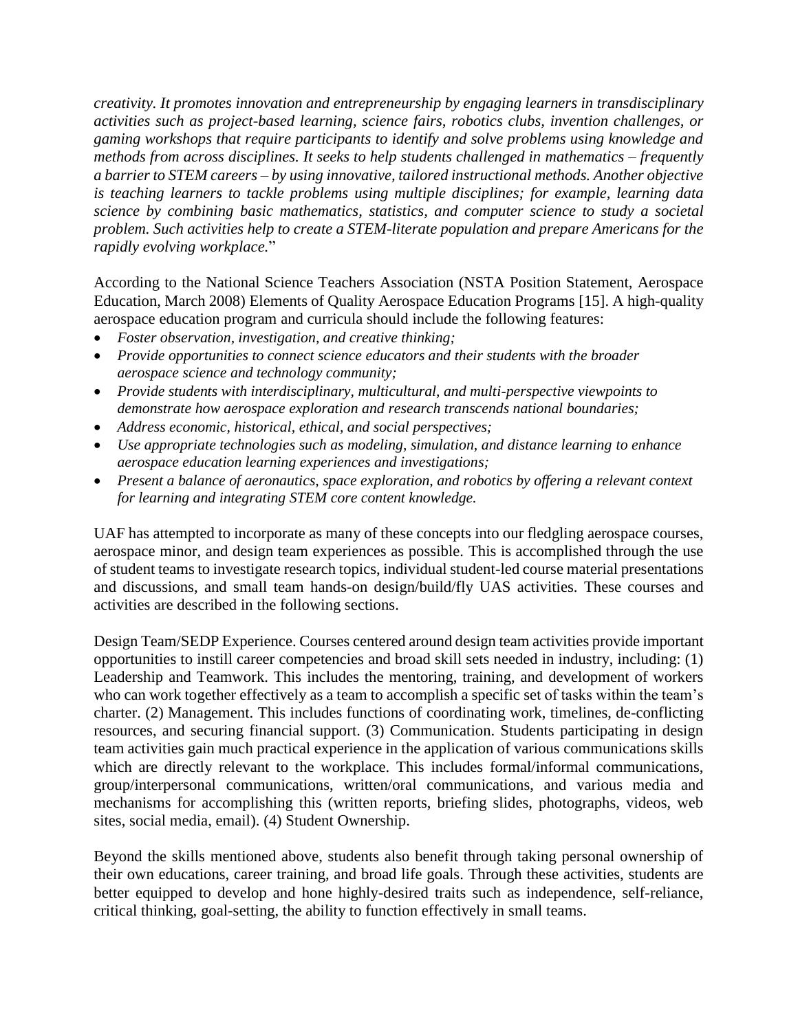*creativity. It promotes innovation and entrepreneurship by engaging learners in transdisciplinary activities such as project-based learning, science fairs, robotics clubs, invention challenges, or gaming workshops that require participants to identify and solve problems using knowledge and methods from across disciplines. It seeks to help students challenged in mathematics – frequently a barrier to STEM careers – by using innovative, tailored instructional methods. Another objective is teaching learners to tackle problems using multiple disciplines; for example, learning data science by combining basic mathematics, statistics, and computer science to study a societal problem. Such activities help to create a STEM-literate population and prepare Americans for the rapidly evolving workplace.*"

According to the National Science Teachers Association (NSTA Position Statement, Aerospace Education, March 2008) Elements of Quality Aerospace Education Programs [15]. A high-quality aerospace education program and curricula should include the following features:

- *Foster observation, investigation, and creative thinking;*
- *Provide opportunities to connect science educators and their students with the broader aerospace science and technology community;*
- *Provide students with interdisciplinary, multicultural, and multi-perspective viewpoints to demonstrate how aerospace exploration and research transcends national boundaries;*
- *Address economic, historical, ethical, and social perspectives;*
- *Use appropriate technologies such as modeling, simulation, and distance learning to enhance aerospace education learning experiences and investigations;*
- *Present a balance of aeronautics, space exploration, and robotics by offering a relevant context for learning and integrating STEM core content knowledge.*

UAF has attempted to incorporate as many of these concepts into our fledgling aerospace courses, aerospace minor, and design team experiences as possible. This is accomplished through the use of student teams to investigate research topics, individual student-led course material presentations and discussions, and small team hands-on design/build/fly UAS activities. These courses and activities are described in the following sections.

Design Team/SEDP Experience. Courses centered around design team activities provide important opportunities to instill career competencies and broad skill sets needed in industry, including: (1) Leadership and Teamwork. This includes the mentoring, training, and development of workers who can work together effectively as a team to accomplish a specific set of tasks within the team's charter. (2) Management. This includes functions of coordinating work, timelines, de-conflicting resources, and securing financial support. (3) Communication. Students participating in design team activities gain much practical experience in the application of various communications skills which are directly relevant to the workplace. This includes formal/informal communications, group/interpersonal communications, written/oral communications, and various media and mechanisms for accomplishing this (written reports, briefing slides, photographs, videos, web sites, social media, email). (4) Student Ownership.

Beyond the skills mentioned above, students also benefit through taking personal ownership of their own educations, career training, and broad life goals. Through these activities, students are better equipped to develop and hone highly-desired traits such as independence, self-reliance, critical thinking, goal-setting, the ability to function effectively in small teams.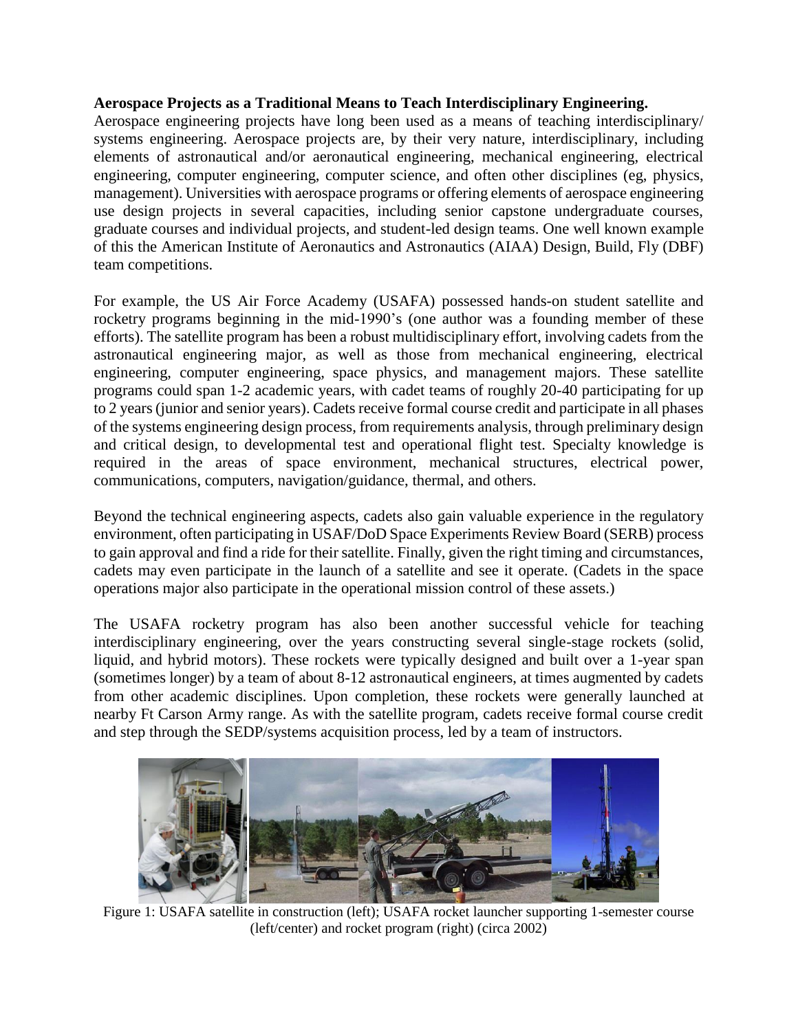### **Aerospace Projects as a Traditional Means to Teach Interdisciplinary Engineering.**

Aerospace engineering projects have long been used as a means of teaching interdisciplinary/ systems engineering. Aerospace projects are, by their very nature, interdisciplinary, including elements of astronautical and/or aeronautical engineering, mechanical engineering, electrical engineering, computer engineering, computer science, and often other disciplines (eg, physics, management). Universities with aerospace programs or offering elements of aerospace engineering use design projects in several capacities, including senior capstone undergraduate courses, graduate courses and individual projects, and student-led design teams. One well known example of this the American Institute of Aeronautics and Astronautics (AIAA) Design, Build, Fly (DBF) team competitions.

For example, the US Air Force Academy (USAFA) possessed hands-on student satellite and rocketry programs beginning in the mid-1990's (one author was a founding member of these efforts). The satellite program has been a robust multidisciplinary effort, involving cadets from the astronautical engineering major, as well as those from mechanical engineering, electrical engineering, computer engineering, space physics, and management majors. These satellite programs could span 1-2 academic years, with cadet teams of roughly 20-40 participating for up to 2 years(junior and senior years). Cadets receive formal course credit and participate in all phases of the systems engineering design process, from requirements analysis, through preliminary design and critical design, to developmental test and operational flight test. Specialty knowledge is required in the areas of space environment, mechanical structures, electrical power, communications, computers, navigation/guidance, thermal, and others.

Beyond the technical engineering aspects, cadets also gain valuable experience in the regulatory environment, often participating in USAF/DoD Space Experiments Review Board (SERB) process to gain approval and find a ride for their satellite. Finally, given the right timing and circumstances, cadets may even participate in the launch of a satellite and see it operate. (Cadets in the space operations major also participate in the operational mission control of these assets.)

The USAFA rocketry program has also been another successful vehicle for teaching interdisciplinary engineering, over the years constructing several single-stage rockets (solid, liquid, and hybrid motors). These rockets were typically designed and built over a 1-year span (sometimes longer) by a team of about 8-12 astronautical engineers, at times augmented by cadets from other academic disciplines. Upon completion, these rockets were generally launched at nearby Ft Carson Army range. As with the satellite program, cadets receive formal course credit and step through the SEDP/systems acquisition process, led by a team of instructors.



Figure 1: USAFA satellite in construction (left); USAFA rocket launcher supporting 1-semester course (left/center) and rocket program (right) (circa 2002)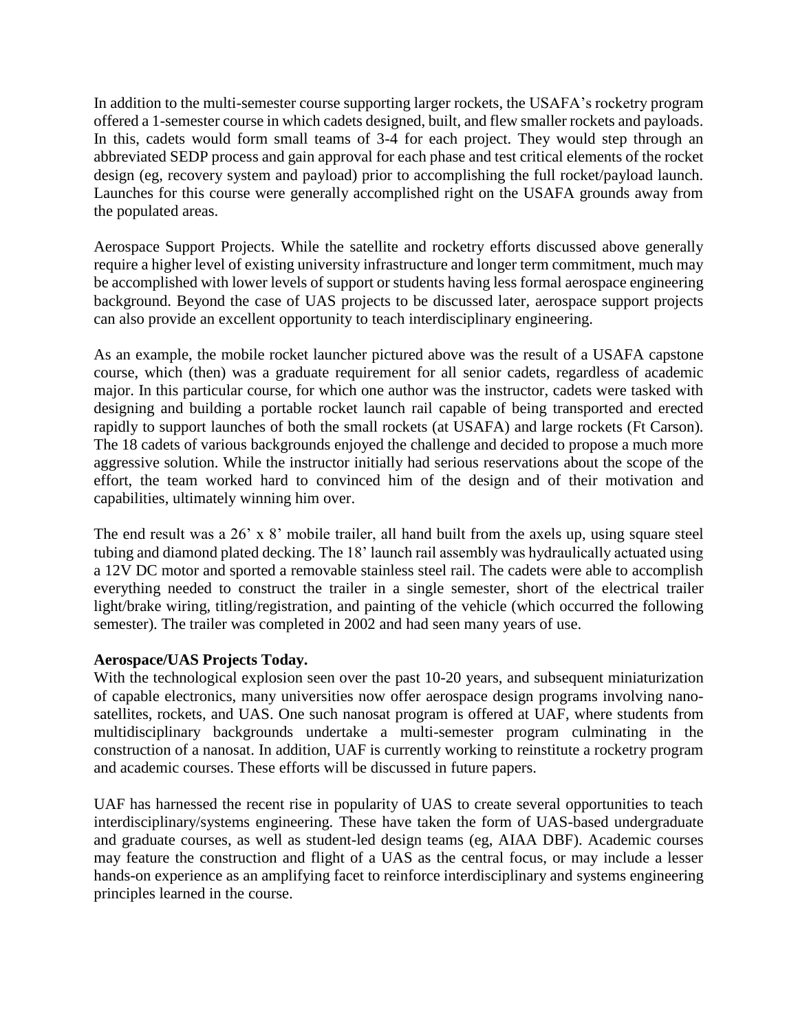In addition to the multi-semester course supporting larger rockets, the USAFA's rocketry program offered a 1-semester course in which cadets designed, built, and flew smaller rockets and payloads. In this, cadets would form small teams of 3-4 for each project. They would step through an abbreviated SEDP process and gain approval for each phase and test critical elements of the rocket design (eg, recovery system and payload) prior to accomplishing the full rocket/payload launch. Launches for this course were generally accomplished right on the USAFA grounds away from the populated areas.

Aerospace Support Projects. While the satellite and rocketry efforts discussed above generally require a higher level of existing university infrastructure and longer term commitment, much may be accomplished with lower levels of support or students having less formal aerospace engineering background. Beyond the case of UAS projects to be discussed later, aerospace support projects can also provide an excellent opportunity to teach interdisciplinary engineering.

As an example, the mobile rocket launcher pictured above was the result of a USAFA capstone course, which (then) was a graduate requirement for all senior cadets, regardless of academic major. In this particular course, for which one author was the instructor, cadets were tasked with designing and building a portable rocket launch rail capable of being transported and erected rapidly to support launches of both the small rockets (at USAFA) and large rockets (Ft Carson). The 18 cadets of various backgrounds enjoyed the challenge and decided to propose a much more aggressive solution. While the instructor initially had serious reservations about the scope of the effort, the team worked hard to convinced him of the design and of their motivation and capabilities, ultimately winning him over.

The end result was a 26' x 8' mobile trailer, all hand built from the axels up, using square steel tubing and diamond plated decking. The 18' launch rail assembly was hydraulically actuated using a 12V DC motor and sported a removable stainless steel rail. The cadets were able to accomplish everything needed to construct the trailer in a single semester, short of the electrical trailer light/brake wiring, titling/registration, and painting of the vehicle (which occurred the following semester). The trailer was completed in 2002 and had seen many years of use.

### **Aerospace/UAS Projects Today.**

With the technological explosion seen over the past 10-20 years, and subsequent miniaturization of capable electronics, many universities now offer aerospace design programs involving nanosatellites, rockets, and UAS. One such nanosat program is offered at UAF, where students from multidisciplinary backgrounds undertake a multi-semester program culminating in the construction of a nanosat. In addition, UAF is currently working to reinstitute a rocketry program and academic courses. These efforts will be discussed in future papers.

UAF has harnessed the recent rise in popularity of UAS to create several opportunities to teach interdisciplinary/systems engineering. These have taken the form of UAS-based undergraduate and graduate courses, as well as student-led design teams (eg, AIAA DBF). Academic courses may feature the construction and flight of a UAS as the central focus, or may include a lesser hands-on experience as an amplifying facet to reinforce interdisciplinary and systems engineering principles learned in the course.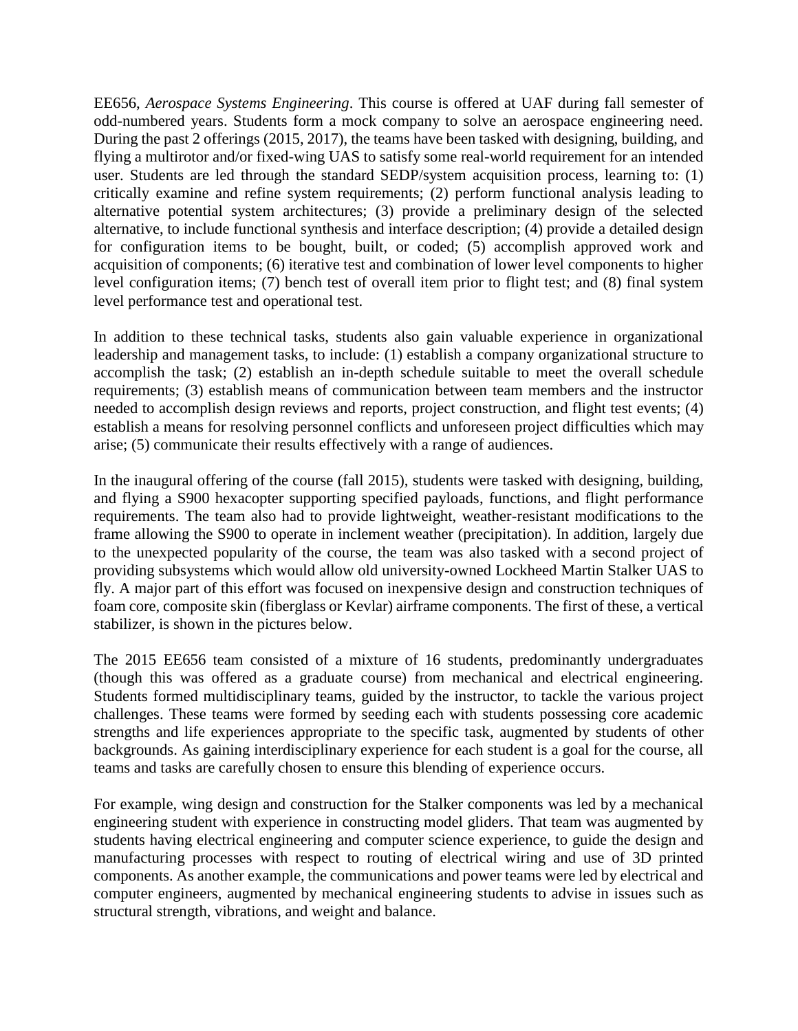EE656, *Aerospace Systems Engineering*. This course is offered at UAF during fall semester of odd-numbered years. Students form a mock company to solve an aerospace engineering need. During the past 2 offerings (2015, 2017), the teams have been tasked with designing, building, and flying a multirotor and/or fixed-wing UAS to satisfy some real-world requirement for an intended user. Students are led through the standard SEDP/system acquisition process, learning to: (1) critically examine and refine system requirements; (2) perform functional analysis leading to alternative potential system architectures; (3) provide a preliminary design of the selected alternative, to include functional synthesis and interface description; (4) provide a detailed design for configuration items to be bought, built, or coded; (5) accomplish approved work and acquisition of components; (6) iterative test and combination of lower level components to higher level configuration items; (7) bench test of overall item prior to flight test; and (8) final system level performance test and operational test.

In addition to these technical tasks, students also gain valuable experience in organizational leadership and management tasks, to include: (1) establish a company organizational structure to accomplish the task; (2) establish an in-depth schedule suitable to meet the overall schedule requirements; (3) establish means of communication between team members and the instructor needed to accomplish design reviews and reports, project construction, and flight test events; (4) establish a means for resolving personnel conflicts and unforeseen project difficulties which may arise; (5) communicate their results effectively with a range of audiences.

In the inaugural offering of the course (fall 2015), students were tasked with designing, building, and flying a S900 hexacopter supporting specified payloads, functions, and flight performance requirements. The team also had to provide lightweight, weather-resistant modifications to the frame allowing the S900 to operate in inclement weather (precipitation). In addition, largely due to the unexpected popularity of the course, the team was also tasked with a second project of providing subsystems which would allow old university-owned Lockheed Martin Stalker UAS to fly. A major part of this effort was focused on inexpensive design and construction techniques of foam core, composite skin (fiberglass or Kevlar) airframe components. The first of these, a vertical stabilizer, is shown in the pictures below.

The 2015 EE656 team consisted of a mixture of 16 students, predominantly undergraduates (though this was offered as a graduate course) from mechanical and electrical engineering. Students formed multidisciplinary teams, guided by the instructor, to tackle the various project challenges. These teams were formed by seeding each with students possessing core academic strengths and life experiences appropriate to the specific task, augmented by students of other backgrounds. As gaining interdisciplinary experience for each student is a goal for the course, all teams and tasks are carefully chosen to ensure this blending of experience occurs.

For example, wing design and construction for the Stalker components was led by a mechanical engineering student with experience in constructing model gliders. That team was augmented by students having electrical engineering and computer science experience, to guide the design and manufacturing processes with respect to routing of electrical wiring and use of 3D printed components. As another example, the communications and power teams were led by electrical and computer engineers, augmented by mechanical engineering students to advise in issues such as structural strength, vibrations, and weight and balance.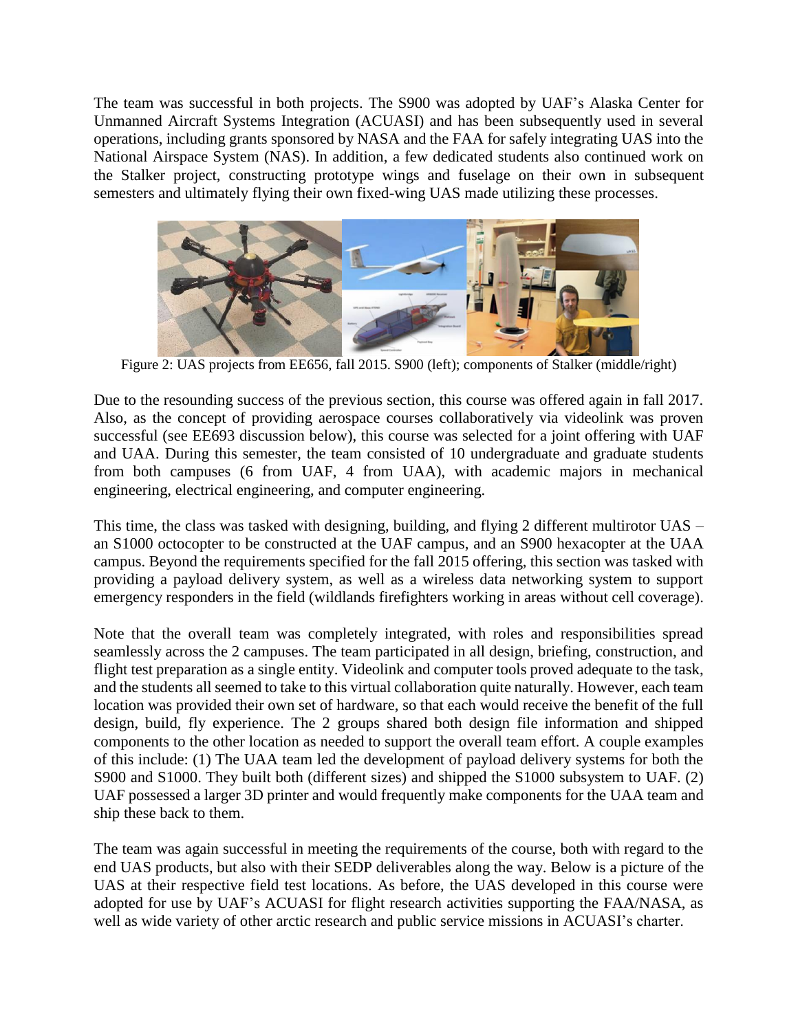The team was successful in both projects. The S900 was adopted by UAF's Alaska Center for Unmanned Aircraft Systems Integration (ACUASI) and has been subsequently used in several operations, including grants sponsored by NASA and the FAA for safely integrating UAS into the National Airspace System (NAS). In addition, a few dedicated students also continued work on the Stalker project, constructing prototype wings and fuselage on their own in subsequent semesters and ultimately flying their own fixed-wing UAS made utilizing these processes.



Figure 2: UAS projects from EE656, fall 2015. S900 (left); components of Stalker (middle/right)

Due to the resounding success of the previous section, this course was offered again in fall 2017. Also, as the concept of providing aerospace courses collaboratively via videolink was proven successful (see EE693 discussion below), this course was selected for a joint offering with UAF and UAA. During this semester, the team consisted of 10 undergraduate and graduate students from both campuses (6 from UAF, 4 from UAA), with academic majors in mechanical engineering, electrical engineering, and computer engineering.

This time, the class was tasked with designing, building, and flying 2 different multirotor UAS – an S1000 octocopter to be constructed at the UAF campus, and an S900 hexacopter at the UAA campus. Beyond the requirements specified for the fall 2015 offering, this section was tasked with providing a payload delivery system, as well as a wireless data networking system to support emergency responders in the field (wildlands firefighters working in areas without cell coverage).

Note that the overall team was completely integrated, with roles and responsibilities spread seamlessly across the 2 campuses. The team participated in all design, briefing, construction, and flight test preparation as a single entity. Videolink and computer tools proved adequate to the task, and the students all seemed to take to this virtual collaboration quite naturally. However, each team location was provided their own set of hardware, so that each would receive the benefit of the full design, build, fly experience. The 2 groups shared both design file information and shipped components to the other location as needed to support the overall team effort. A couple examples of this include: (1) The UAA team led the development of payload delivery systems for both the S900 and S1000. They built both (different sizes) and shipped the S1000 subsystem to UAF. (2) UAF possessed a larger 3D printer and would frequently make components for the UAA team and ship these back to them.

The team was again successful in meeting the requirements of the course, both with regard to the end UAS products, but also with their SEDP deliverables along the way. Below is a picture of the UAS at their respective field test locations. As before, the UAS developed in this course were adopted for use by UAF's ACUASI for flight research activities supporting the FAA/NASA, as well as wide variety of other arctic research and public service missions in ACUASI's charter.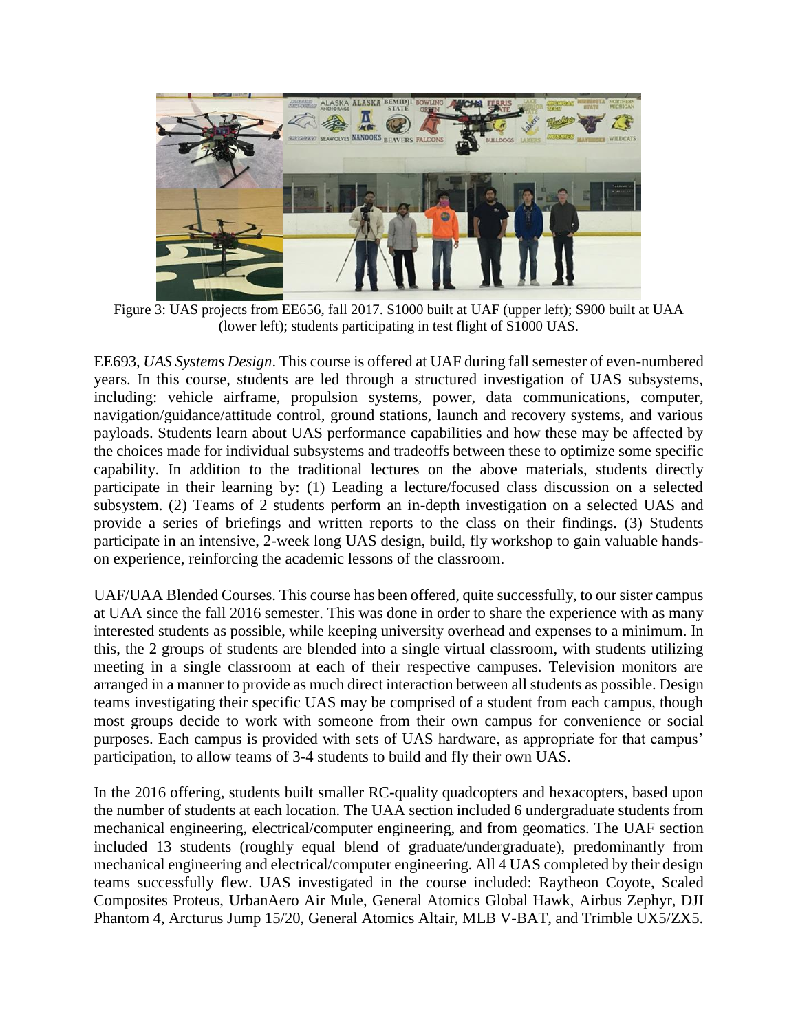

Figure 3: UAS projects from EE656, fall 2017. S1000 built at UAF (upper left); S900 built at UAA (lower left); students participating in test flight of S1000 UAS.

EE693, *UAS Systems Design*. This course is offered at UAF during fall semester of even-numbered years. In this course, students are led through a structured investigation of UAS subsystems, including: vehicle airframe, propulsion systems, power, data communications, computer, navigation/guidance/attitude control, ground stations, launch and recovery systems, and various payloads. Students learn about UAS performance capabilities and how these may be affected by the choices made for individual subsystems and tradeoffs between these to optimize some specific capability. In addition to the traditional lectures on the above materials, students directly participate in their learning by: (1) Leading a lecture/focused class discussion on a selected subsystem. (2) Teams of 2 students perform an in-depth investigation on a selected UAS and provide a series of briefings and written reports to the class on their findings. (3) Students participate in an intensive, 2-week long UAS design, build, fly workshop to gain valuable handson experience, reinforcing the academic lessons of the classroom.

UAF/UAA Blended Courses. This course has been offered, quite successfully, to our sister campus at UAA since the fall 2016 semester. This was done in order to share the experience with as many interested students as possible, while keeping university overhead and expenses to a minimum. In this, the 2 groups of students are blended into a single virtual classroom, with students utilizing meeting in a single classroom at each of their respective campuses. Television monitors are arranged in a manner to provide as much direct interaction between all students as possible. Design teams investigating their specific UAS may be comprised of a student from each campus, though most groups decide to work with someone from their own campus for convenience or social purposes. Each campus is provided with sets of UAS hardware, as appropriate for that campus' participation, to allow teams of 3-4 students to build and fly their own UAS.

In the 2016 offering, students built smaller RC-quality quadcopters and hexacopters, based upon the number of students at each location. The UAA section included 6 undergraduate students from mechanical engineering, electrical/computer engineering, and from geomatics. The UAF section included 13 students (roughly equal blend of graduate/undergraduate), predominantly from mechanical engineering and electrical/computer engineering. All 4 UAS completed by their design teams successfully flew. UAS investigated in the course included: Raytheon Coyote, Scaled Composites Proteus, UrbanAero Air Mule, General Atomics Global Hawk, Airbus Zephyr, DJI Phantom 4, Arcturus Jump 15/20, General Atomics Altair, MLB V-BAT, and Trimble UX5/ZX5.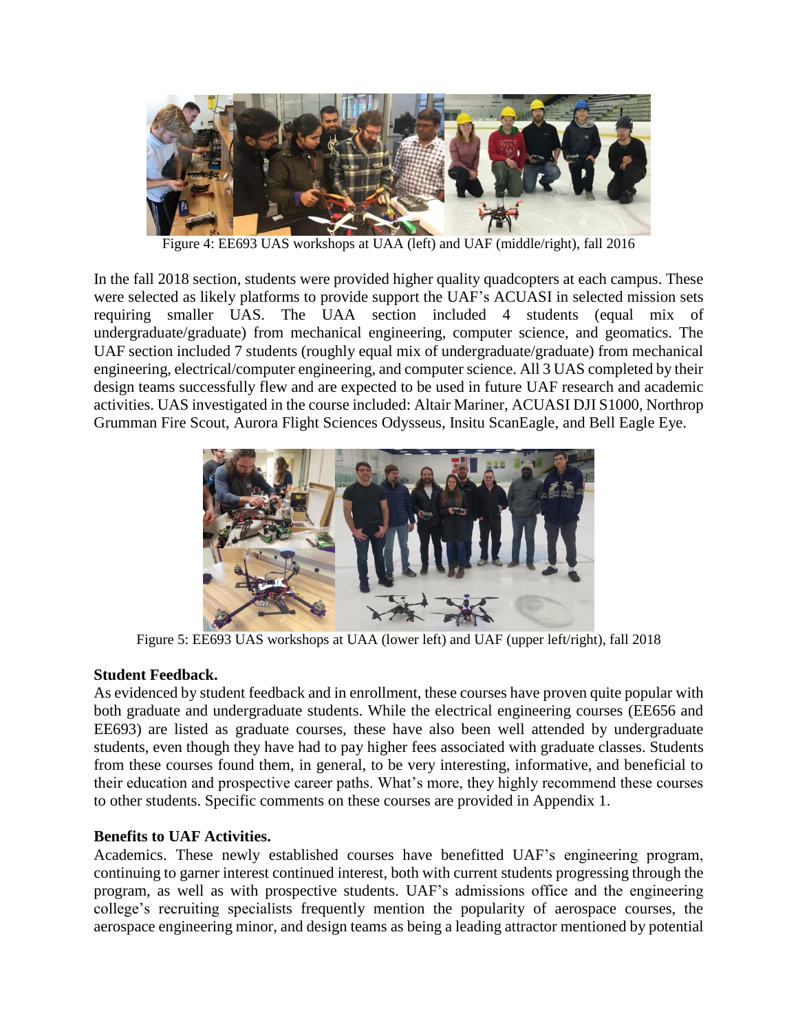

Figure 4: EE693 UAS workshops at UAA (left) and UAF (middle/right), fall 2016

In the fall 2018 section, students were provided higher quality quadcopters at each campus. These were selected as likely platforms to provide support the UAF's ACUASI in selected mission sets requiring smaller UAS. The UAA section included 4 students (equal mix of undergraduate/graduate) from mechanical engineering, computer science, and geomatics. The UAF section included 7 students (roughly equal mix of undergraduate/graduate) from mechanical engineering, electrical/computer engineering, and computer science. All 3 UAS completed by their design teams successfully flew and are expected to be used in future UAF research and academic activities. UAS investigated in the course included: Altair Mariner, ACUASI DJI S1000, Northrop Grumman Fire Scout, Aurora Flight Sciences Odysseus, Insitu ScanEagle, and Bell Eagle Eye.



Figure 5: EE693 UAS workshops at UAA (lower left) and UAF (upper left/right), fall 2018

# **Student Feedback.**

As evidenced by student feedback and in enrollment, these courses have proven quite popular with both graduate and undergraduate students. While the electrical engineering courses (EE656 and EE693) are listed as graduate courses, these have also been well attended by undergraduate students, even though they have had to pay higher fees associated with graduate classes. Students from these courses found them, in general, to be very interesting, informative, and beneficial to their education and prospective career paths. What's more, they highly recommend these courses to other students. Specific comments on these courses are provided in Appendix 1.

# **Benefits to UAF Activities.**

Academics. These newly established courses have benefitted UAF's engineering program, continuing to garner interest continued interest, both with current students progressing through the program, as well as with prospective students. UAF's admissions office and the engineering college's recruiting specialists frequently mention the popularity of aerospace courses, the aerospace engineering minor, and design teams as being a leading attractor mentioned by potential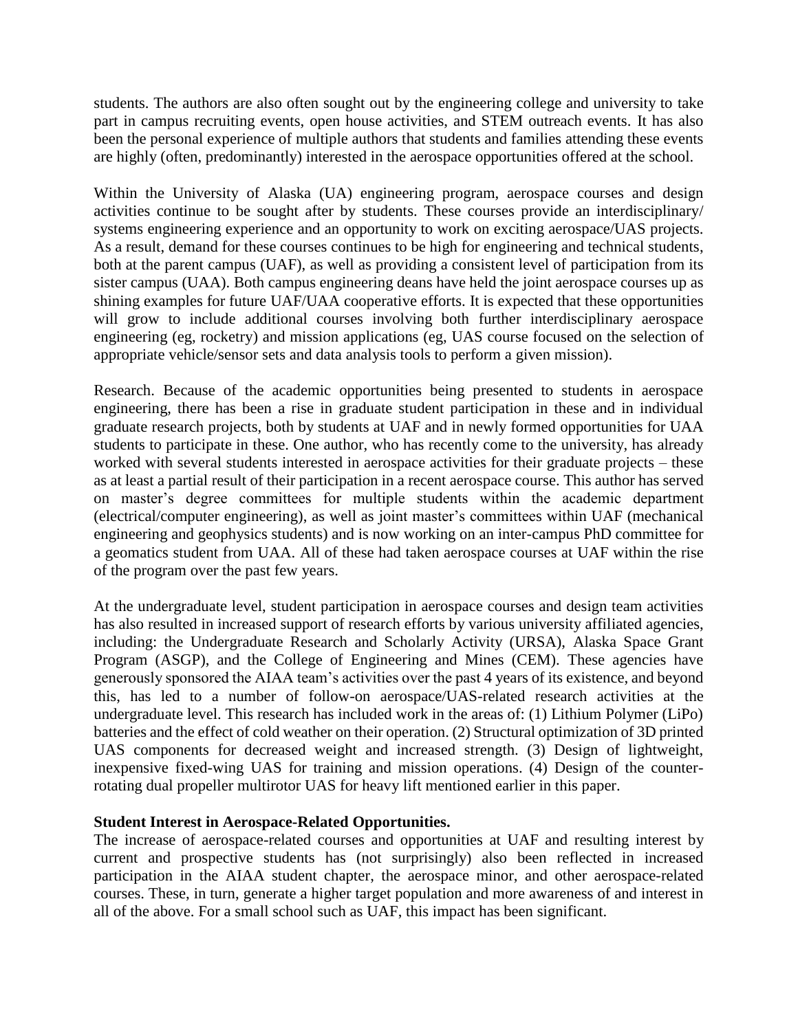students. The authors are also often sought out by the engineering college and university to take part in campus recruiting events, open house activities, and STEM outreach events. It has also been the personal experience of multiple authors that students and families attending these events are highly (often, predominantly) interested in the aerospace opportunities offered at the school.

Within the University of Alaska (UA) engineering program, aerospace courses and design activities continue to be sought after by students. These courses provide an interdisciplinary/ systems engineering experience and an opportunity to work on exciting aerospace/UAS projects. As a result, demand for these courses continues to be high for engineering and technical students, both at the parent campus (UAF), as well as providing a consistent level of participation from its sister campus (UAA). Both campus engineering deans have held the joint aerospace courses up as shining examples for future UAF/UAA cooperative efforts. It is expected that these opportunities will grow to include additional courses involving both further interdisciplinary aerospace engineering (eg, rocketry) and mission applications (eg, UAS course focused on the selection of appropriate vehicle/sensor sets and data analysis tools to perform a given mission).

Research. Because of the academic opportunities being presented to students in aerospace engineering, there has been a rise in graduate student participation in these and in individual graduate research projects, both by students at UAF and in newly formed opportunities for UAA students to participate in these. One author, who has recently come to the university, has already worked with several students interested in aerospace activities for their graduate projects – these as at least a partial result of their participation in a recent aerospace course. This author has served on master's degree committees for multiple students within the academic department (electrical/computer engineering), as well as joint master's committees within UAF (mechanical engineering and geophysics students) and is now working on an inter-campus PhD committee for a geomatics student from UAA. All of these had taken aerospace courses at UAF within the rise of the program over the past few years.

At the undergraduate level, student participation in aerospace courses and design team activities has also resulted in increased support of research efforts by various university affiliated agencies, including: the Undergraduate Research and Scholarly Activity (URSA), Alaska Space Grant Program (ASGP), and the College of Engineering and Mines (CEM). These agencies have generously sponsored the AIAA team's activities over the past 4 years of its existence, and beyond this, has led to a number of follow-on aerospace/UAS-related research activities at the undergraduate level. This research has included work in the areas of: (1) Lithium Polymer (LiPo) batteries and the effect of cold weather on their operation. (2) Structural optimization of 3D printed UAS components for decreased weight and increased strength. (3) Design of lightweight, inexpensive fixed-wing UAS for training and mission operations. (4) Design of the counterrotating dual propeller multirotor UAS for heavy lift mentioned earlier in this paper.

### **Student Interest in Aerospace-Related Opportunities.**

The increase of aerospace-related courses and opportunities at UAF and resulting interest by current and prospective students has (not surprisingly) also been reflected in increased participation in the AIAA student chapter, the aerospace minor, and other aerospace-related courses. These, in turn, generate a higher target population and more awareness of and interest in all of the above. For a small school such as UAF, this impact has been significant.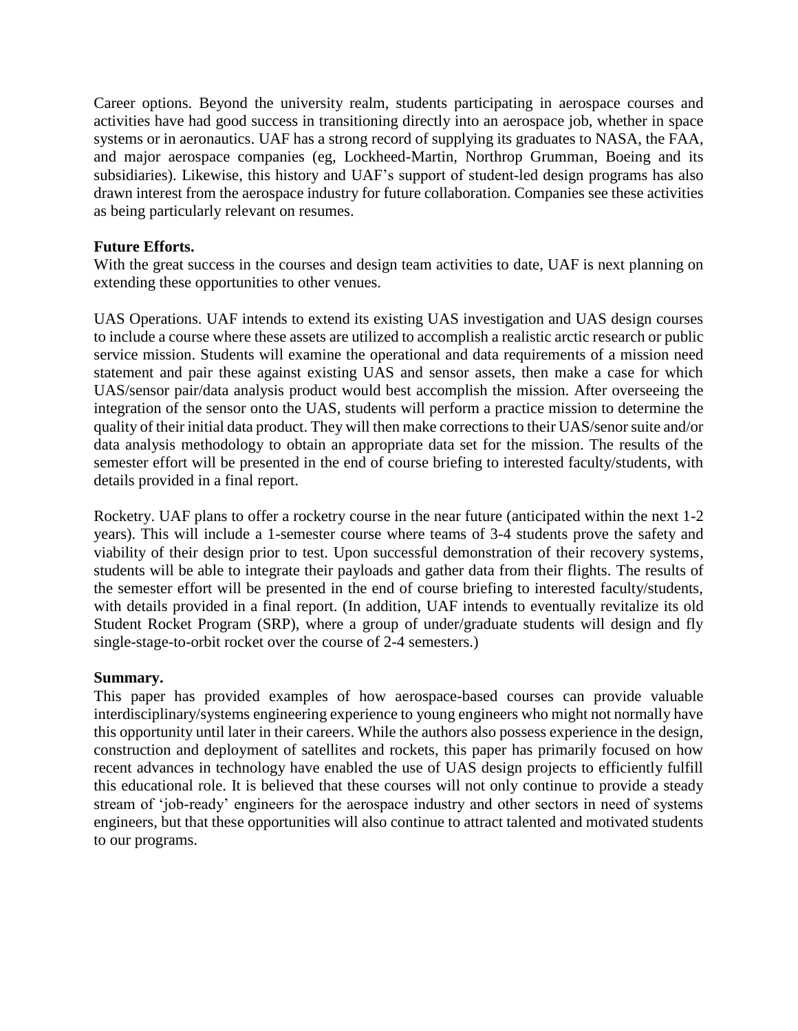Career options. Beyond the university realm, students participating in aerospace courses and activities have had good success in transitioning directly into an aerospace job, whether in space systems or in aeronautics. UAF has a strong record of supplying its graduates to NASA, the FAA, and major aerospace companies (eg, Lockheed-Martin, Northrop Grumman, Boeing and its subsidiaries). Likewise, this history and UAF's support of student-led design programs has also drawn interest from the aerospace industry for future collaboration. Companies see these activities as being particularly relevant on resumes.

### **Future Efforts.**

With the great success in the courses and design team activities to date, UAF is next planning on extending these opportunities to other venues.

UAS Operations. UAF intends to extend its existing UAS investigation and UAS design courses to include a course where these assets are utilized to accomplish a realistic arctic research or public service mission. Students will examine the operational and data requirements of a mission need statement and pair these against existing UAS and sensor assets, then make a case for which UAS/sensor pair/data analysis product would best accomplish the mission. After overseeing the integration of the sensor onto the UAS, students will perform a practice mission to determine the quality of their initial data product. They will then make corrections to their UAS/senor suite and/or data analysis methodology to obtain an appropriate data set for the mission. The results of the semester effort will be presented in the end of course briefing to interested faculty/students, with details provided in a final report.

Rocketry. UAF plans to offer a rocketry course in the near future (anticipated within the next 1-2 years). This will include a 1-semester course where teams of 3-4 students prove the safety and viability of their design prior to test. Upon successful demonstration of their recovery systems, students will be able to integrate their payloads and gather data from their flights. The results of the semester effort will be presented in the end of course briefing to interested faculty/students, with details provided in a final report. (In addition, UAF intends to eventually revitalize its old Student Rocket Program (SRP), where a group of under/graduate students will design and fly single-stage-to-orbit rocket over the course of 2-4 semesters.)

### **Summary.**

This paper has provided examples of how aerospace-based courses can provide valuable interdisciplinary/systems engineering experience to young engineers who might not normally have this opportunity until later in their careers. While the authors also possess experience in the design, construction and deployment of satellites and rockets, this paper has primarily focused on how recent advances in technology have enabled the use of UAS design projects to efficiently fulfill this educational role. It is believed that these courses will not only continue to provide a steady stream of 'job-ready' engineers for the aerospace industry and other sectors in need of systems engineers, but that these opportunities will also continue to attract talented and motivated students to our programs.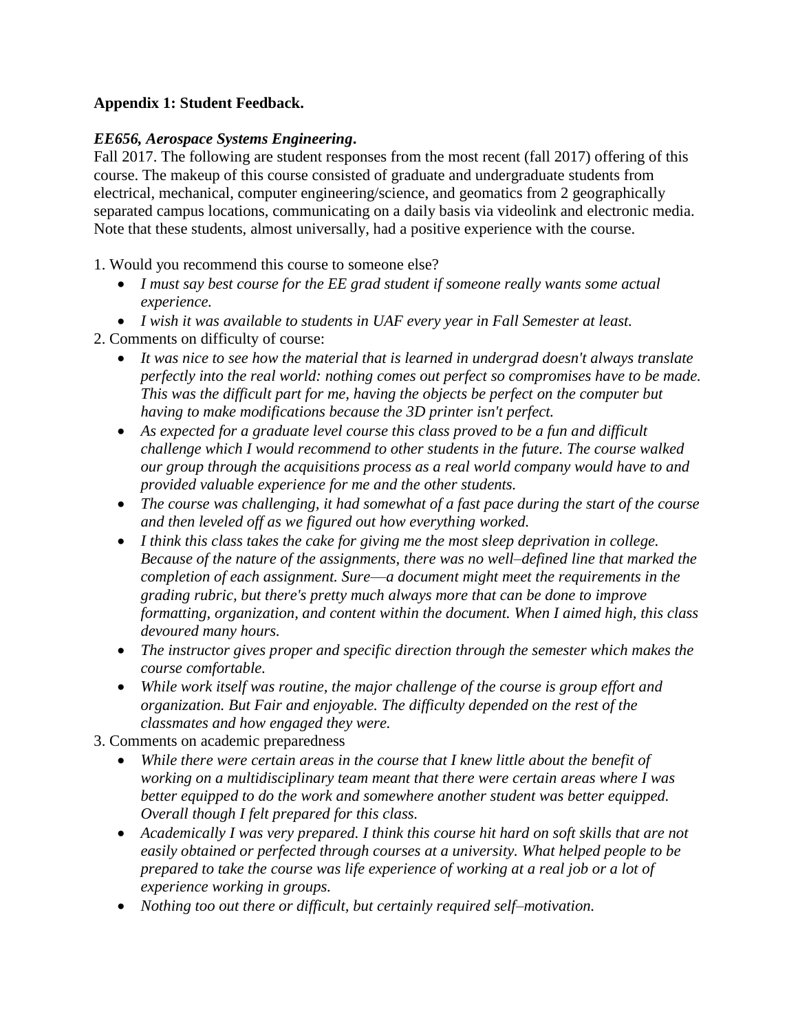# **Appendix 1: Student Feedback.**

# *EE656, Aerospace Systems Engineering***.**

Fall 2017. The following are student responses from the most recent (fall 2017) offering of this course. The makeup of this course consisted of graduate and undergraduate students from electrical, mechanical, computer engineering/science, and geomatics from 2 geographically separated campus locations, communicating on a daily basis via videolink and electronic media. Note that these students, almost universally, had a positive experience with the course.

1. Would you recommend this course to someone else?

- *I must say best course for the EE grad student if someone really wants some actual experience.*
- *I wish it was available to students in UAF every year in Fall Semester at least.*
- 2. Comments on difficulty of course:
	- *It was nice to see how the material that is learned in undergrad doesn't always translate perfectly into the real world: nothing comes out perfect so compromises have to be made. This was the difficult part for me, having the objects be perfect on the computer but having to make modifications because the 3D printer isn't perfect.*
	- As expected for a graduate level course this class proved to be a fun and difficult *challenge which I would recommend to other students in the future. The course walked our group through the acquisitions process as a real world company would have to and provided valuable experience for me and the other students.*
	- *The course was challenging, it had somewhat of a fast pace during the start of the course and then leveled off as we figured out how everything worked.*
	- *I think this class takes the cake for giving me the most sleep deprivation in college. Because of the nature of the assignments, there was no well–defined line that marked the completion of each assignment. Sure––a document might meet the requirements in the grading rubric, but there's pretty much always more that can be done to improve formatting, organization, and content within the document. When I aimed high, this class devoured many hours.*
	- *The instructor gives proper and specific direction through the semester which makes the course comfortable.*
	- *While work itself was routine, the major challenge of the course is group effort and organization. But Fair and enjoyable. The difficulty depended on the rest of the classmates and how engaged they were.*
- 3. Comments on academic preparedness
	- *While there were certain areas in the course that I knew little about the benefit of working on a multidisciplinary team meant that there were certain areas where I was better equipped to do the work and somewhere another student was better equipped. Overall though I felt prepared for this class.*
	- *Academically I was very prepared. I think this course hit hard on soft skills that are not easily obtained or perfected through courses at a university. What helped people to be prepared to take the course was life experience of working at a real job or a lot of experience working in groups.*
	- *Nothing too out there or difficult, but certainly required self–motivation.*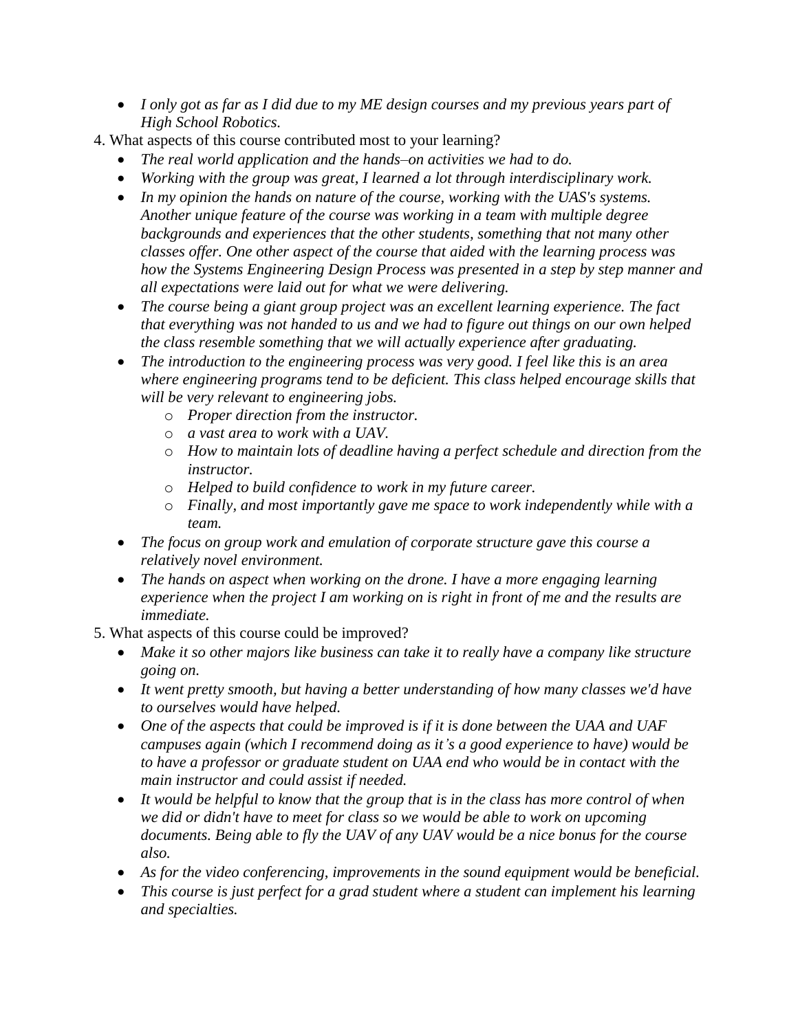- *I only got as far as I did due to my ME design courses and my previous years part of High School Robotics.*
- 4. What aspects of this course contributed most to your learning?
	- *The real world application and the hands–on activities we had to do.*
	- *Working with the group was great, I learned a lot through interdisciplinary work.*
	- *In my opinion the hands on nature of the course, working with the UAS's systems. Another unique feature of the course was working in a team with multiple degree backgrounds and experiences that the other students, something that not many other classes offer. One other aspect of the course that aided with the learning process was how the Systems Engineering Design Process was presented in a step by step manner and all expectations were laid out for what we were delivering.*
	- *The course being a giant group project was an excellent learning experience. The fact that everything was not handed to us and we had to figure out things on our own helped the class resemble something that we will actually experience after graduating.*
	- *The introduction to the engineering process was very good. I feel like this is an area where engineering programs tend to be deficient. This class helped encourage skills that will be very relevant to engineering jobs.*
		- o *Proper direction from the instructor.*
		- o *a vast area to work with a UAV.*
		- o *How to maintain lots of deadline having a perfect schedule and direction from the instructor.*
		- o *Helped to build confidence to work in my future career.*
		- o *Finally, and most importantly gave me space to work independently while with a team.*
	- *The focus on group work and emulation of corporate structure gave this course a relatively novel environment.*
	- *The hands on aspect when working on the drone. I have a more engaging learning experience when the project I am working on is right in front of me and the results are immediate.*
- 5. What aspects of this course could be improved?
	- *Make it so other majors like business can take it to really have a company like structure going on.*
	- *It went pretty smooth, but having a better understanding of how many classes we'd have to ourselves would have helped.*
	- One of the aspects that could be improved is if it is done between the UAA and UAF *campuses again (which I recommend doing as it's a good experience to have) would be to have a professor or graduate student on UAA end who would be in contact with the main instructor and could assist if needed.*
	- *It would be helpful to know that the group that is in the class has more control of when we did or didn't have to meet for class so we would be able to work on upcoming documents. Being able to fly the UAV of any UAV would be a nice bonus for the course also.*
	- *As for the video conferencing, improvements in the sound equipment would be beneficial.*
	- *This course is just perfect for a grad student where a student can implement his learning and specialties.*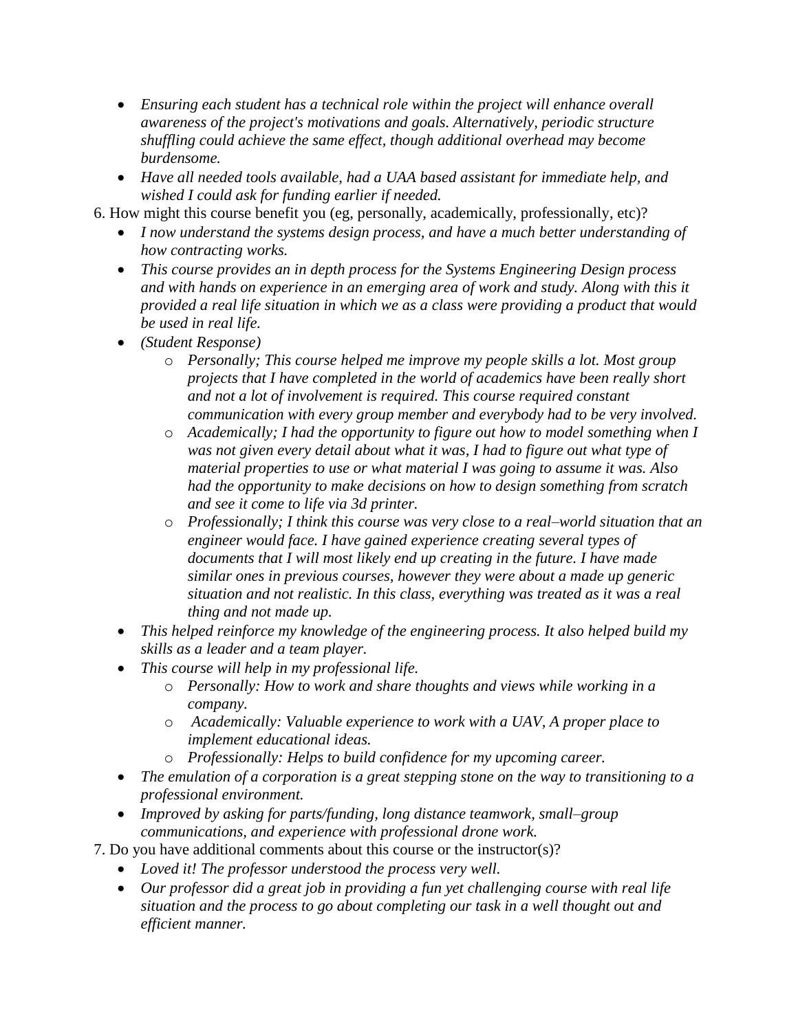- *Ensuring each student has a technical role within the project will enhance overall awareness of the project's motivations and goals. Alternatively, periodic structure shuffling could achieve the same effect, though additional overhead may become burdensome.*
- *Have all needed tools available, had a UAA based assistant for immediate help, and wished I could ask for funding earlier if needed.*

6. How might this course benefit you (eg, personally, academically, professionally, etc)?

- *I now understand the systems design process, and have a much better understanding of how contracting works.*
- *This course provides an in depth process for the Systems Engineering Design process and with hands on experience in an emerging area of work and study. Along with this it provided a real life situation in which we as a class were providing a product that would be used in real life.*
- *(Student Response)*
	- o *Personally; This course helped me improve my people skills a lot. Most group projects that I have completed in the world of academics have been really short and not a lot of involvement is required. This course required constant communication with every group member and everybody had to be very involved.*
	- o *Academically; I had the opportunity to figure out how to model something when I was not given every detail about what it was, I had to figure out what type of material properties to use or what material I was going to assume it was. Also had the opportunity to make decisions on how to design something from scratch and see it come to life via 3d printer.*
	- o *Professionally; I think this course was very close to a real–world situation that an engineer would face. I have gained experience creating several types of documents that I will most likely end up creating in the future. I have made similar ones in previous courses, however they were about a made up generic situation and not realistic. In this class, everything was treated as it was a real thing and not made up.*
- *This helped reinforce my knowledge of the engineering process. It also helped build my skills as a leader and a team player.*
- *This course will help in my professional life.*
	- o *Personally: How to work and share thoughts and views while working in a company.*
	- o *Academically: Valuable experience to work with a UAV, A proper place to implement educational ideas.*
	- o *Professionally: Helps to build confidence for my upcoming career.*
- *The emulation of a corporation is a great stepping stone on the way to transitioning to a professional environment.*
- *Improved by asking for parts/funding, long distance teamwork, small–group communications, and experience with professional drone work.*
- 7. Do you have additional comments about this course or the instructor(s)?
	- *Loved it! The professor understood the process very well.*
	- *Our professor did a great job in providing a fun yet challenging course with real life situation and the process to go about completing our task in a well thought out and efficient manner.*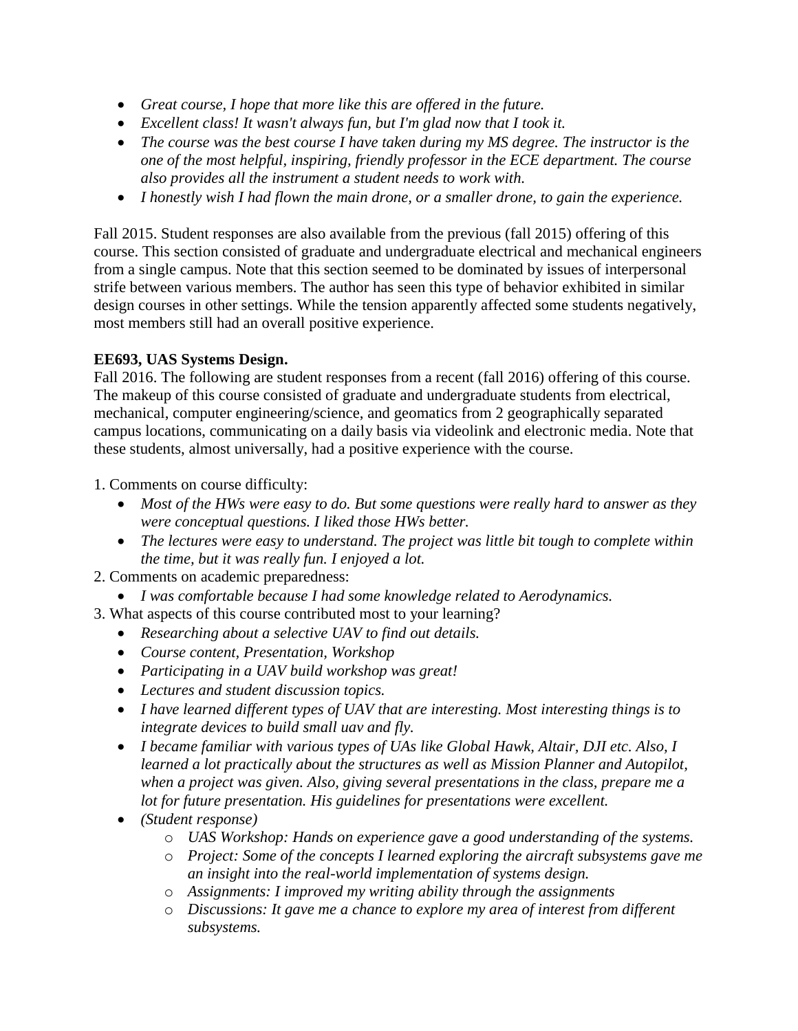- *Great course, I hope that more like this are offered in the future.*
- *Excellent class! It wasn't always fun, but I'm glad now that I took it.*
- *The course was the best course I have taken during my MS degree. The instructor is the one of the most helpful, inspiring, friendly professor in the ECE department. The course also provides all the instrument a student needs to work with.*
- *I honestly wish I had flown the main drone, or a smaller drone, to gain the experience.*

Fall 2015. Student responses are also available from the previous (fall 2015) offering of this course. This section consisted of graduate and undergraduate electrical and mechanical engineers from a single campus. Note that this section seemed to be dominated by issues of interpersonal strife between various members. The author has seen this type of behavior exhibited in similar design courses in other settings. While the tension apparently affected some students negatively, most members still had an overall positive experience.

# **EE693, UAS Systems Design.**

Fall 2016. The following are student responses from a recent (fall 2016) offering of this course. The makeup of this course consisted of graduate and undergraduate students from electrical, mechanical, computer engineering/science, and geomatics from 2 geographically separated campus locations, communicating on a daily basis via videolink and electronic media. Note that these students, almost universally, had a positive experience with the course.

1. Comments on course difficulty:

- Most of the HWs were easy to do. But some questions were really hard to answer as they *were conceptual questions. I liked those HWs better.*
- *The lectures were easy to understand. The project was little bit tough to complete within the time, but it was really fun. I enjoyed a lot.*
- 2. Comments on academic preparedness:
	- *I was comfortable because I had some knowledge related to Aerodynamics.*
- 3. What aspects of this course contributed most to your learning?
	- *Researching about a selective UAV to find out details.*
	- *Course content, Presentation, Workshop*
	- *Participating in a UAV build workshop was great!*
	- *Lectures and student discussion topics.*
	- *I have learned different types of UAV that are interesting. Most interesting things is to integrate devices to build small uav and fly.*
	- *I became familiar with various types of UAs like Global Hawk, Altair, DJI etc. Also, I learned a lot practically about the structures as well as Mission Planner and Autopilot, when a project was given. Also, giving several presentations in the class, prepare me a lot for future presentation. His guidelines for presentations were excellent.*
	- *(Student response)*
		- o *UAS Workshop: Hands on experience gave a good understanding of the systems.*
		- o *Project: Some of the concepts I learned exploring the aircraft subsystems gave me an insight into the real-world implementation of systems design.*
		- o *Assignments: I improved my writing ability through the assignments*
		- o *Discussions: It gave me a chance to explore my area of interest from different subsystems.*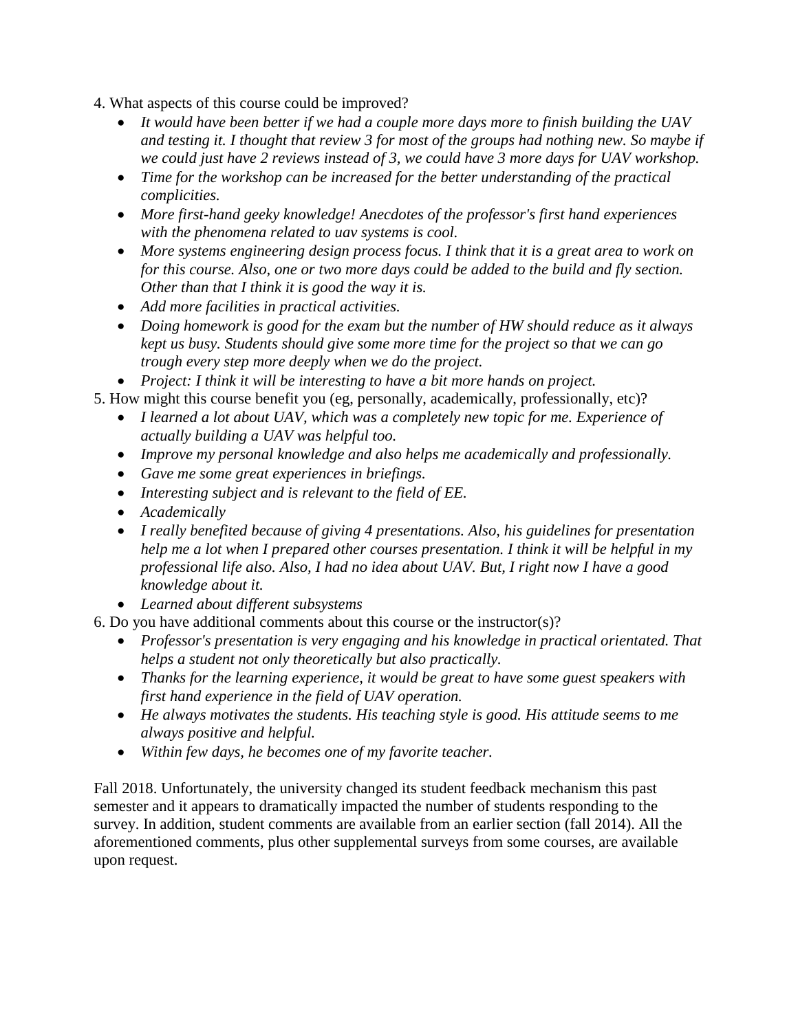- 4. What aspects of this course could be improved?
	- *It would have been better if we had a couple more days more to finish building the UAV and testing it. I thought that review 3 for most of the groups had nothing new. So maybe if we could just have 2 reviews instead of 3, we could have 3 more days for UAV workshop.*
	- *Time for the workshop can be increased for the better understanding of the practical complicities.*
	- *More first-hand geeky knowledge! Anecdotes of the professor's first hand experiences with the phenomena related to uav systems is cool.*
	- More systems engineering design process focus. I think that it is a great area to work on *for this course. Also, one or two more days could be added to the build and fly section. Other than that I think it is good the way it is.*
	- *Add more facilities in practical activities.*
	- *Doing homework is good for the exam but the number of HW should reduce as it always kept us busy. Students should give some more time for the project so that we can go trough every step more deeply when we do the project.*

• *Project: I think it will be interesting to have a bit more hands on project.*

- 5. How might this course benefit you (eg, personally, academically, professionally, etc)?
	- *I learned a lot about UAV, which was a completely new topic for me. Experience of actually building a UAV was helpful too.*
	- *Improve my personal knowledge and also helps me academically and professionally.*
	- *Gave me some great experiences in briefings.*
	- *Interesting subject and is relevant to the field of EE.*
	- *Academically*
	- *I really benefited because of giving 4 presentations. Also, his guidelines for presentation help me a lot when I prepared other courses presentation. I think it will be helpful in my professional life also. Also, I had no idea about UAV. But, I right now I have a good knowledge about it.*
	- *Learned about different subsystems*
- 6. Do you have additional comments about this course or the instructor(s)?
	- *Professor's presentation is very engaging and his knowledge in practical orientated. That helps a student not only theoretically but also practically.*
	- *Thanks for the learning experience, it would be great to have some guest speakers with first hand experience in the field of UAV operation.*
	- *He always motivates the students. His teaching style is good. His attitude seems to me always positive and helpful.*
	- *Within few days, he becomes one of my favorite teacher.*

Fall 2018. Unfortunately, the university changed its student feedback mechanism this past semester and it appears to dramatically impacted the number of students responding to the survey. In addition, student comments are available from an earlier section (fall 2014). All the aforementioned comments, plus other supplemental surveys from some courses, are available upon request.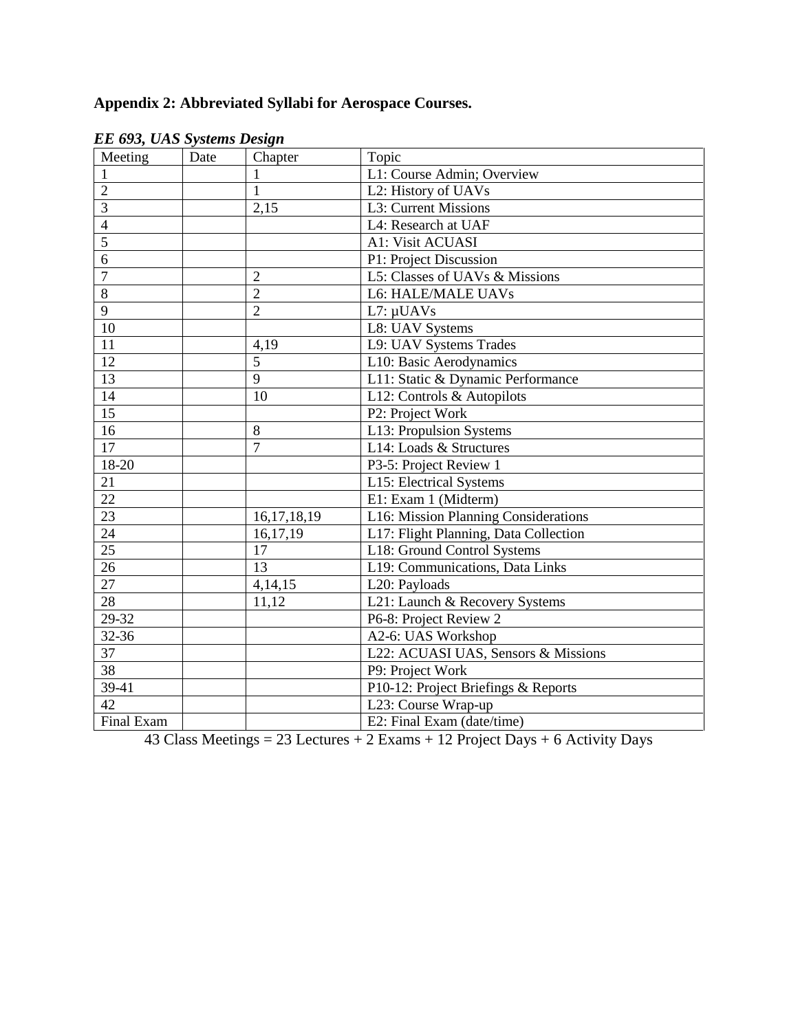# **Appendix 2: Abbreviated Syllabi for Aerospace Courses.**

| Meeting         | Date | Chapter        | Topic                                 |  |
|-----------------|------|----------------|---------------------------------------|--|
|                 |      | 1              | L1: Course Admin; Overview            |  |
| $\overline{c}$  |      | $\mathbf{1}$   | L2: History of UAVs                   |  |
| $\overline{3}$  |      | 2,15           | L3: Current Missions                  |  |
| $\overline{4}$  |      |                | L4: Research at UAF                   |  |
| $\overline{5}$  |      |                | A1: Visit ACUASI                      |  |
| 6               |      |                | P1: Project Discussion                |  |
| 7               |      | $\overline{2}$ | L5: Classes of UAVs & Missions        |  |
| 8               |      | $\overline{2}$ | L6: HALE/MALE UAVs                    |  |
| 9               |      | $\overline{2}$ | $L7: \mu$ UAVs                        |  |
| 10              |      |                | L8: UAV Systems                       |  |
| 11              |      | 4,19           | L9: UAV Systems Trades                |  |
| 12              |      | $\overline{5}$ | L10: Basic Aerodynamics               |  |
| 13              |      | 9              | L11: Static & Dynamic Performance     |  |
| 14              |      | 10             | L12: Controls & Autopilots            |  |
| 15              |      |                | P2: Project Work                      |  |
| 16              |      | 8              | L13: Propulsion Systems               |  |
| 17              |      | $\overline{7}$ | L14: Loads & Structures               |  |
| 18-20           |      |                | P3-5: Project Review 1                |  |
| 21              |      |                | L15: Electrical Systems               |  |
| 22              |      |                | E1: Exam 1 (Midterm)                  |  |
| $\overline{23}$ |      | 16, 17, 18, 19 | L16: Mission Planning Considerations  |  |
| $\overline{24}$ |      | 16,17,19       | L17: Flight Planning, Data Collection |  |
| $\overline{25}$ |      | 17             | L18: Ground Control Systems           |  |
| 26              |      | 13             | L19: Communications, Data Links       |  |
| 27              |      | 4,14,15        | L20: Payloads                         |  |
| 28              |      | 11,12          | L21: Launch & Recovery Systems        |  |
| 29-32           |      |                | P6-8: Project Review 2                |  |
| 32-36           |      |                | A2-6: UAS Workshop                    |  |
| 37              |      |                | L22: ACUASI UAS, Sensors & Missions   |  |
| $\overline{38}$ |      |                | P9: Project Work                      |  |
| 39-41           |      |                | P10-12: Project Briefings & Reports   |  |
| 42              |      |                | L23: Course Wrap-up                   |  |
| Final Exam      |      |                | E2: Final Exam (date/time)            |  |

*EE 693, UAS Systems Design*

43 Class Meetings = 23 Lectures + 2 Exams + 12 Project Days + 6 Activity Days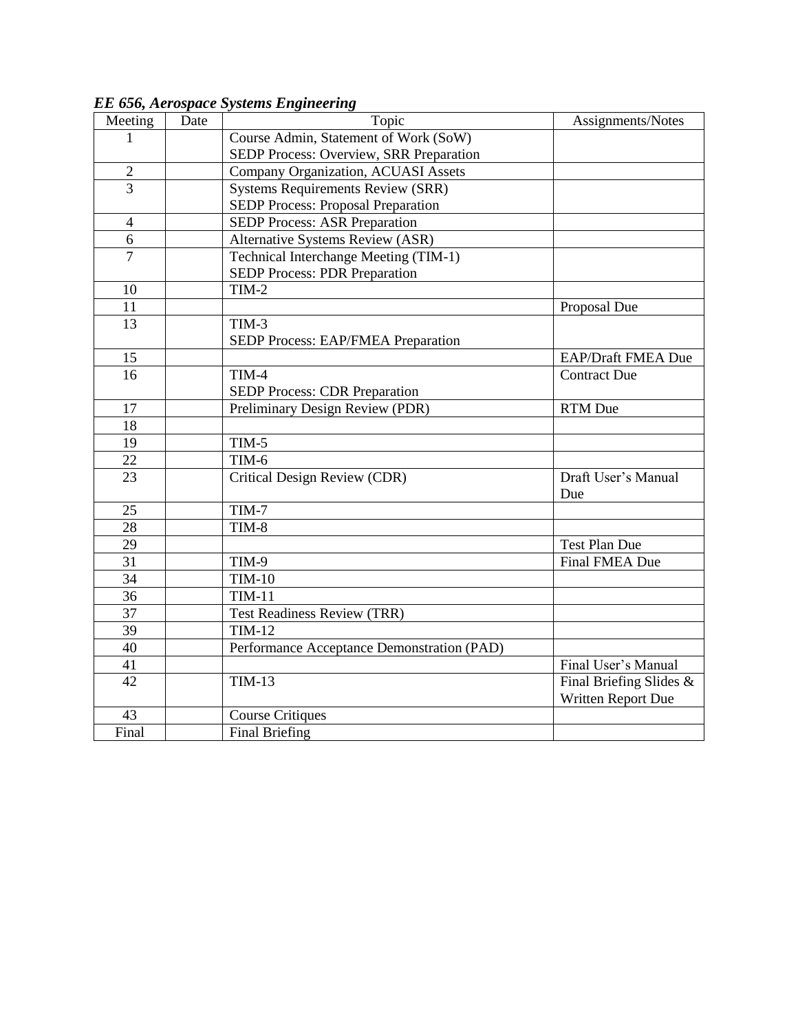| Meeting        | Date | Topic                                      | Assignments/Notes         |
|----------------|------|--------------------------------------------|---------------------------|
| 1              |      | Course Admin, Statement of Work (SoW)      |                           |
|                |      | SEDP Process: Overview, SRR Preparation    |                           |
| $\sqrt{2}$     |      | Company Organization, ACUASI Assets        |                           |
| $\overline{3}$ |      | <b>Systems Requirements Review (SRR)</b>   |                           |
|                |      | <b>SEDP Process: Proposal Preparation</b>  |                           |
| $\overline{4}$ |      | <b>SEDP Process: ASR Preparation</b>       |                           |
| 6              |      | <b>Alternative Systems Review (ASR)</b>    |                           |
| $\overline{7}$ |      | Technical Interchange Meeting (TIM-1)      |                           |
|                |      | <b>SEDP Process: PDR Preparation</b>       |                           |
| 10             |      | $TIM-2$                                    |                           |
| 11             |      |                                            | Proposal Due              |
| 13             |      | $TIM-3$                                    |                           |
|                |      | SEDP Process: EAP/FMEA Preparation         |                           |
| 15             |      |                                            | <b>EAP/Draft FMEA Due</b> |
| 16             |      | TIM-4                                      | <b>Contract Due</b>       |
|                |      | <b>SEDP Process: CDR Preparation</b>       |                           |
| 17             |      | Preliminary Design Review (PDR)            | <b>RTM</b> Due            |
| 18             |      |                                            |                           |
| 19             |      | $TIM-5$                                    |                           |
| 22             |      | TIM-6                                      |                           |
| 23             |      | Critical Design Review (CDR)               | Draft User's Manual       |
|                |      |                                            | Due                       |
| 25             |      | TIM-7                                      |                           |
| 28             |      | TIM-8                                      |                           |
| 29             |      |                                            | <b>Test Plan Due</b>      |
| 31             |      | TIM-9                                      | Final FMEA Due            |
| 34             |      | $TIM-10$                                   |                           |
| 36             |      | <b>TIM-11</b>                              |                           |
| 37             |      | <b>Test Readiness Review (TRR)</b>         |                           |
| 39             |      | <b>TIM-12</b>                              |                           |
| 40             |      | Performance Acceptance Demonstration (PAD) |                           |
| 41             |      |                                            | Final User's Manual       |
| 42             |      | <b>TIM-13</b>                              | Final Briefing Slides &   |
|                |      |                                            | Written Report Due        |
| 43             |      | <b>Course Critiques</b>                    |                           |
| Final          |      | <b>Final Briefing</b>                      |                           |

*EE 656, Aerospace Systems Engineering*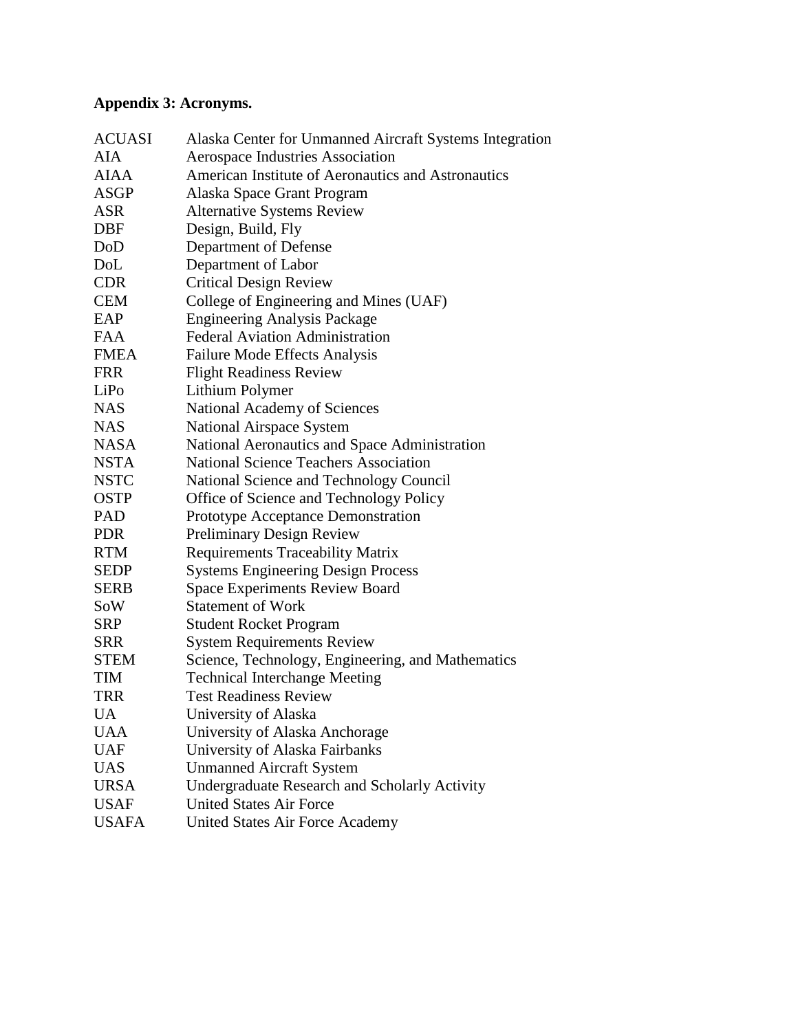# **Appendix 3: Acronyms.**

| <b>ACUASI</b> | Alaska Center for Unmanned Aircraft Systems Integration |  |  |
|---------------|---------------------------------------------------------|--|--|
| <b>AIA</b>    | Aerospace Industries Association                        |  |  |
| <b>AIAA</b>   | American Institute of Aeronautics and Astronautics      |  |  |
| <b>ASGP</b>   | Alaska Space Grant Program                              |  |  |
| <b>ASR</b>    | <b>Alternative Systems Review</b>                       |  |  |
| DBF           | Design, Build, Fly                                      |  |  |
| DoD           | Department of Defense                                   |  |  |
| DoL           | Department of Labor                                     |  |  |
| <b>CDR</b>    | <b>Critical Design Review</b>                           |  |  |
| <b>CEM</b>    | College of Engineering and Mines (UAF)                  |  |  |
| EAP           | <b>Engineering Analysis Package</b>                     |  |  |
| <b>FAA</b>    | <b>Federal Aviation Administration</b>                  |  |  |
| <b>FMEA</b>   | Failure Mode Effects Analysis                           |  |  |
| <b>FRR</b>    | <b>Flight Readiness Review</b>                          |  |  |
| LiPo          | Lithium Polymer                                         |  |  |
| <b>NAS</b>    | National Academy of Sciences                            |  |  |
| <b>NAS</b>    | <b>National Airspace System</b>                         |  |  |
| <b>NASA</b>   | National Aeronautics and Space Administration           |  |  |
| <b>NSTA</b>   | <b>National Science Teachers Association</b>            |  |  |
| <b>NSTC</b>   | National Science and Technology Council                 |  |  |
| <b>OSTP</b>   | Office of Science and Technology Policy                 |  |  |
| <b>PAD</b>    | Prototype Acceptance Demonstration                      |  |  |
| <b>PDR</b>    | <b>Preliminary Design Review</b>                        |  |  |
| <b>RTM</b>    | <b>Requirements Traceability Matrix</b>                 |  |  |
| <b>SEDP</b>   | <b>Systems Engineering Design Process</b>               |  |  |
| <b>SERB</b>   | <b>Space Experiments Review Board</b>                   |  |  |
| SoW           | <b>Statement of Work</b>                                |  |  |
| <b>SRP</b>    | <b>Student Rocket Program</b>                           |  |  |
| <b>SRR</b>    | <b>System Requirements Review</b>                       |  |  |
| <b>STEM</b>   | Science, Technology, Engineering, and Mathematics       |  |  |
| <b>TIM</b>    | <b>Technical Interchange Meeting</b>                    |  |  |
| <b>TRR</b>    | <b>Test Readiness Review</b>                            |  |  |
| UA            | University of Alaska                                    |  |  |
| UAA           | University of Alaska Anchorage                          |  |  |
| <b>UAF</b>    | University of Alaska Fairbanks                          |  |  |
| <b>UAS</b>    | <b>Unmanned Aircraft System</b>                         |  |  |
| <b>URSA</b>   | <b>Undergraduate Research and Scholarly Activity</b>    |  |  |
| <b>USAF</b>   | <b>United States Air Force</b>                          |  |  |
| <b>USAFA</b>  | <b>United States Air Force Academy</b>                  |  |  |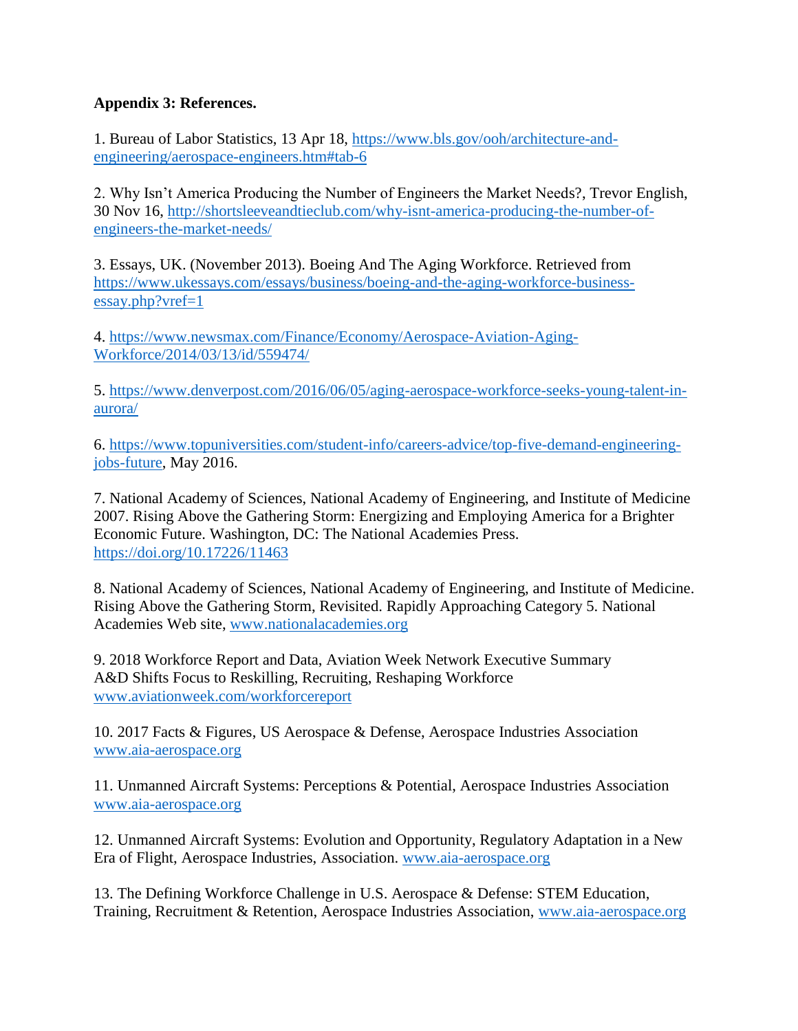# **Appendix 3: References.**

1. Bureau of Labor Statistics, 13 Apr 18, [https://www.bls.gov/ooh/architecture-and](https://www.bls.gov/ooh/architecture-and-engineering/aerospace-engineers.htm#tab-6)[engineering/aerospace-engineers.htm#tab-6](https://www.bls.gov/ooh/architecture-and-engineering/aerospace-engineers.htm#tab-6)

2. Why Isn't America Producing the Number of Engineers the Market Needs?, Trevor English, 30 Nov 16, [http://shortsleeveandtieclub.com/why-isnt-america-producing-the-number-of](http://shortsleeveandtieclub.com/why-isnt-america-producing-the-number-of-engineers-the-market-needs/)[engineers-the-market-needs/](http://shortsleeveandtieclub.com/why-isnt-america-producing-the-number-of-engineers-the-market-needs/)

3. Essays, UK. (November 2013). Boeing And The Aging Workforce. Retrieved from [https://www.ukessays.com/essays/business/boeing-and-the-aging-workforce-business](https://www.ukessays.com/essays/business/boeing-and-the-aging-workforce-business-essay.php?vref=1)[essay.php?vref=1](https://www.ukessays.com/essays/business/boeing-and-the-aging-workforce-business-essay.php?vref=1)

4. [https://www.newsmax.com/Finance/Economy/Aerospace-Aviation-Aging-](https://www.newsmax.com/Finance/Economy/Aerospace-Aviation-Aging-Workforce/2014/03/13/id/559474/)[Workforce/2014/03/13/id/559474/](https://www.newsmax.com/Finance/Economy/Aerospace-Aviation-Aging-Workforce/2014/03/13/id/559474/)

5. [https://www.denverpost.com/2016/06/05/aging-aerospace-workforce-seeks-young-talent-in](https://www.denverpost.com/2016/06/05/aging-aerospace-workforce-seeks-young-talent-in-aurora/)[aurora/](https://www.denverpost.com/2016/06/05/aging-aerospace-workforce-seeks-young-talent-in-aurora/)

6. [https://www.topuniversities.com/student-info/careers-advice/top-five-demand-engineering](https://www.topuniversities.com/student-info/careers-advice/top-five-demand-engineering-jobs-future)[jobs-future,](https://www.topuniversities.com/student-info/careers-advice/top-five-demand-engineering-jobs-future) May 2016.

7. National Academy of Sciences, National Academy of Engineering, and Institute of Medicine 2007. Rising Above the Gathering Storm: Energizing and Employing America for a Brighter Economic Future. Washington, DC: The National Academies Press. <https://doi.org/10.17226/11463>

8. National Academy of Sciences, National Academy of Engineering, and Institute of Medicine. Rising Above the Gathering Storm, Revisited. Rapidly Approaching Category 5. National Academies Web site, [www.nationalacademies.org](http://www.nationalacademies.org/)

9. 2018 Workforce Report and Data, Aviation Week Network Executive Summary A&D Shifts Focus to Reskilling, Recruiting, Reshaping Workforce [www.aviationweek.com/workforcereport](http://www.aviationweek.com/workforcereport)

10. 2017 Facts & Figures, US Aerospace & Defense, Aerospace Industries Association [www.aia-aerospace.org](http://www.aia-aerospace.org/)

11. Unmanned Aircraft Systems: Perceptions & Potential, Aerospace Industries Association [www.aia-aerospace.org](http://www.aia-aerospace.org/)

12. Unmanned Aircraft Systems: Evolution and Opportunity, Regulatory Adaptation in a New Era of Flight, Aerospace Industries, Association. [www.aia-aerospace.org](http://www.aia-aerospace.org/)

13. The Defining Workforce Challenge in U.S. Aerospace & Defense: STEM Education, Training, Recruitment & Retention, Aerospace Industries Association, [www.aia-aerospace.org](http://www.aia-aerospace.org/)